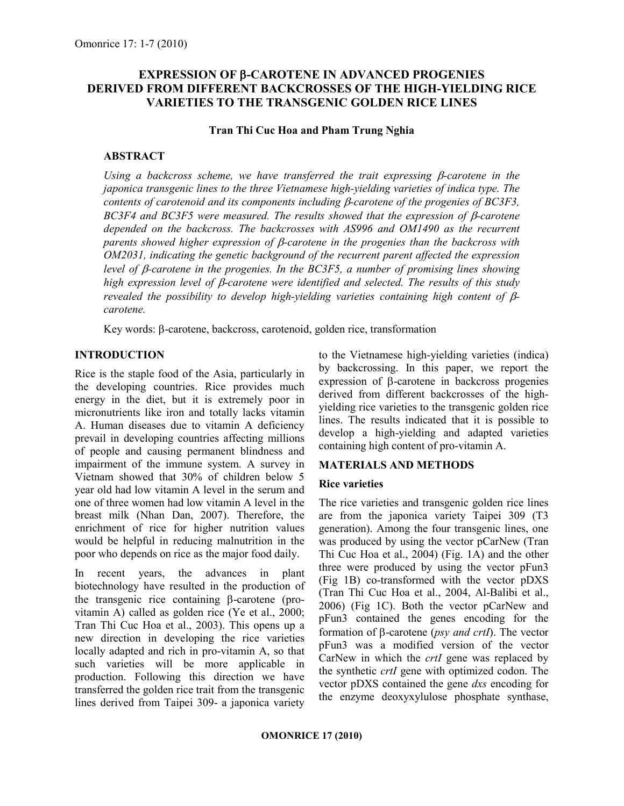# EXPRESSION OF β-CAROTENE IN ADVANCED PROGENIES DERIVED FROM DIFFERENT BACKCROSSES OF THE HIGH-YIELDING RICE VARIETIES TO THE TRANSGENIC GOLDEN RICE LINES

Tran Thi Cuc Hoa and Pham Trung Nghia

### ABSTRACT

Using a backcross scheme, we have transferred the trait expressing  $\beta$ -carotene in the japonica transgenic lines to the three Vietnamese high-yielding varieties of indica type. The contents of carotenoid and its components including  $\beta$ -carotene of the progenies of BC3F3, BC3F4 and BC3F5 were measured. The results showed that the expression of  $\beta$ -carotene depended on the backcross. The backcrosses with AS996 and OM1490 as the recurrent parents showed higher expression of β-carotene in the progenies than the backcross with OM2031, indicating the genetic background of the recurrent parent affected the expression level of β-carotene in the progenies. In the BC3F5, a number of promising lines showing high expression level of β-carotene were identified and selected. The results of this study revealed the possibility to develop high-yielding varieties containing high content of βcarotene.

Key words: β-carotene, backcross, carotenoid, golden rice, transformation

# **INTRODUCTION**

Rice is the staple food of the Asia, particularly in the developing countries. Rice provides much energy in the diet, but it is extremely poor in micronutrients like iron and totally lacks vitamin A. Human diseases due to vitamin A deficiency prevail in developing countries affecting millions of people and causing permanent blindness and impairment of the immune system. A survey in Vietnam showed that 30% of children below 5 year old had low vitamin A level in the serum and one of three women had low vitamin A level in the breast milk (Nhan Dan, 2007). Therefore, the enrichment of rice for higher nutrition values would be helpful in reducing malnutrition in the poor who depends on rice as the major food daily.

In recent years, the advances in plant biotechnology have resulted in the production of the transgenic rice containing β-carotene (provitamin A) called as golden rice (Ye et al., 2000; Tran Thi Cuc Hoa et al., 2003). This opens up a new direction in developing the rice varieties locally adapted and rich in pro-vitamin A, so that such varieties will be more applicable in production. Following this direction we have transferred the golden rice trait from the transgenic lines derived from Taipei 309- a japonica variety

to the Vietnamese high-yielding varieties (indica) by backcrossing. In this paper, we report the expression of β-carotene in backcross progenies derived from different backcrosses of the highyielding rice varieties to the transgenic golden rice lines. The results indicated that it is possible to develop a high-yielding and adapted varieties containing high content of pro-vitamin A.

# MATERIALS AND METHODS

#### Rice varieties

The rice varieties and transgenic golden rice lines are from the japonica variety Taipei 309 (T3 generation). Among the four transgenic lines, one was produced by using the vector pCarNew (Tran Thi Cuc Hoa et al., 2004) (Fig. 1A) and the other three were produced by using the vector pFun3 (Fig 1B) co-transformed with the vector pDXS (Tran Thi Cuc Hoa et al., 2004, Al-Balibi et al., 2006) (Fig 1C). Both the vector pCarNew and pFun3 contained the genes encoding for the formation of β-carotene (psy and crtI). The vector pFun3 was a modified version of the vector CarNew in which the *crtI* gene was replaced by the synthetic crtI gene with optimized codon. The vector pDXS contained the gene dxs encoding for the enzyme deoxyxylulose phosphate synthase,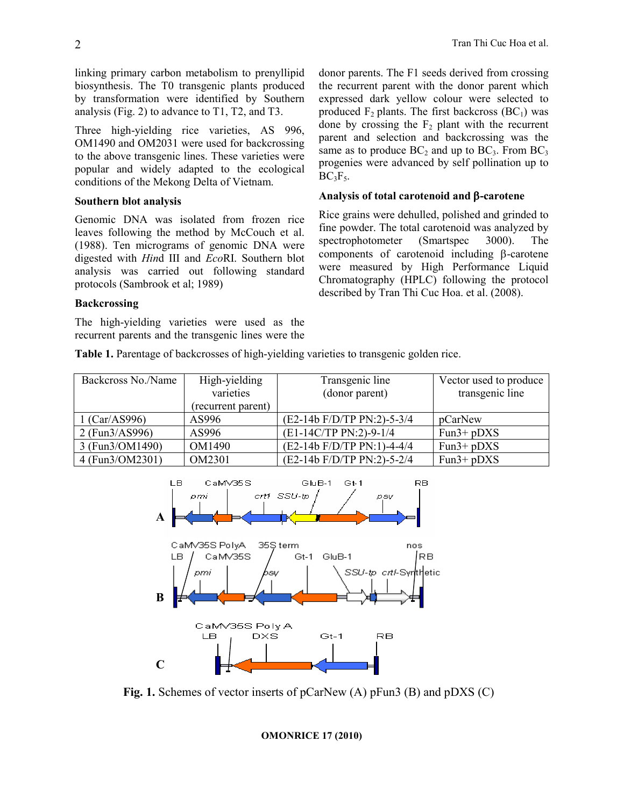linking primary carbon metabolism to prenyllipid biosynthesis. The T0 transgenic plants produced by transformation were identified by Southern analysis (Fig. 2) to advance to T1, T2, and T3.

Three high-yielding rice varieties, AS 996, OM1490 and OM2031 were used for backcrossing to the above transgenic lines. These varieties were popular and widely adapted to the ecological conditions of the Mekong Delta of Vietnam.

## Southern blot analysis

Genomic DNA was isolated from frozen rice leaves following the method by McCouch et al. (1988). Ten micrograms of genomic DNA were digested with Hind III and EcoRI. Southern blot analysis was carried out following standard protocols (Sambrook et al; 1989)

## **Backcrossing**

The high-yielding varieties were used as the recurrent parents and the transgenic lines were the donor parents. The F1 seeds derived from crossing the recurrent parent with the donor parent which expressed dark yellow colour were selected to produced  $F_2$  plants. The first backcross (BC<sub>1</sub>) was done by crossing the  $F<sub>2</sub>$  plant with the recurrent parent and selection and backcrossing was the same as to produce  $BC_2$  and up to  $BC_3$ . From  $BC_3$ progenies were advanced by self pollination up to  $BC_3F_5.$ 

## Analysis of total carotenoid and β-carotene

Rice grains were dehulled, polished and grinded to fine powder. The total carotenoid was analyzed by spectrophotometer (Smartspec 3000). The components of carotenoid including β-carotene were measured by High Performance Liquid Chromatography (HPLC) following the protocol described by Tran Thi Cuc Hoa. et al. (2008).

Table 1. Parentage of backcrosses of high-yielding varieties to transgenic golden rice.

| Backcross No./Name | High-yielding      | Transgenic line                | Vector used to produce |
|--------------------|--------------------|--------------------------------|------------------------|
|                    | varieties          | (donor parent)                 | transgenic line        |
|                    | (recurrent parent) |                                |                        |
| 1 (Car/AS996)      | AS996              | (E2-14b F/D/TP PN:2)-5-3/4     | pCarNew                |
| 2(Fun3/AS996)      | AS996              | (E1-14C/TP PN:2)-9-1/4         | $Fun3+pDXS$            |
| 3 (Fun3/OM1490)    | OM1490             | $(E2-14b F/D/TP PN:1) - 4-4/4$ | $Fun3+pDXS$            |
| 4 (Fun3/OM2301)    | OM2301             | (E2-14b F/D/TP PN:2)-5-2/4     | $Fun3+pDXS$            |



Fig. 1. Schemes of vector inserts of pCarNew (A) pFun3 (B) and pDXS (C)

OMONRICE 17 (2010)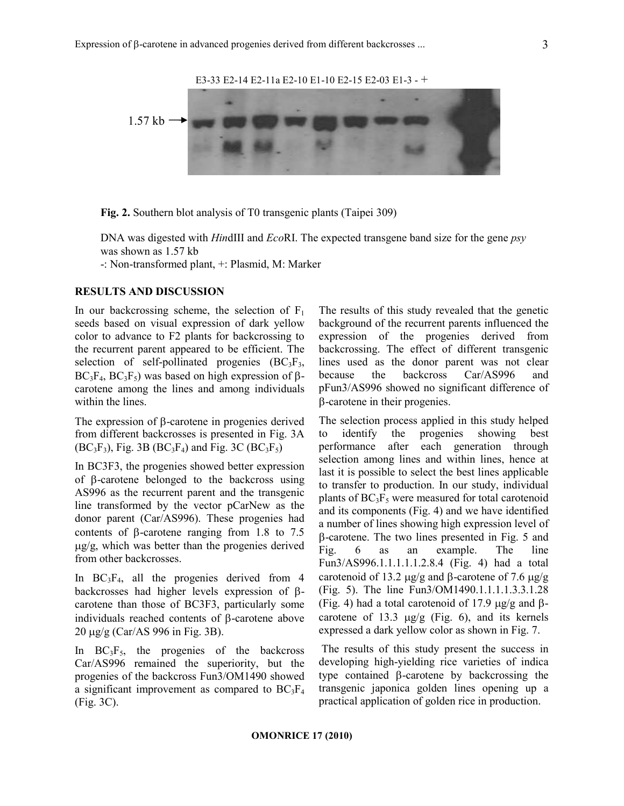

Fig. 2. Southern blot analysis of T0 transgenic plants (Taipei 309)

DNA was digested with *HindIII* and *EcoRI*. The expected transgene band size for the gene *psy* was shown as 1.57 kb

-: Non-transformed plant, +: Plasmid, M: Marker

#### RESULTS AND DISCUSSION

In our backcrossing scheme, the selection of  $F_1$ seeds based on visual expression of dark yellow color to advance to F2 plants for backcrossing to the recurrent parent appeared to be efficient. The selection of self-pollinated progenies  $(BC_3F_3,$  $BC_3F_4$ ,  $BC_3F_5$ ) was based on high expression of  $\beta$ carotene among the lines and among individuals within the lines.

The expression of β-carotene in progenies derived from different backcrosses is presented in Fig. 3A  $(BC_3F_3)$ , Fig. 3B  $(BC_3F_4)$  and Fig. 3C  $(BC_3F_5)$ 

In BC3F3, the progenies showed better expression of β-carotene belonged to the backcross using AS996 as the recurrent parent and the transgenic line transformed by the vector pCarNew as the donor parent (Car/AS996). These progenies had contents of β-carotene ranging from 1.8 to 7.5 µg/g, which was better than the progenies derived from other backcrosses.

In  $BC_3F_4$ , all the progenies derived from 4 backcrosses had higher levels expression of βcarotene than those of BC3F3, particularly some individuals reached contents of β-carotene above 20 µg/g (Car/AS 996 in Fig. 3B).

In  $BC_3F_5$ , the progenies of the backcross Car/AS996 remained the superiority, but the progenies of the backcross Fun3/OM1490 showed a significant improvement as compared to  $BC_3F_4$ (Fig. 3C).

The results of this study revealed that the genetic background of the recurrent parents influenced the expression of the progenies derived from backcrossing. The effect of different transgenic lines used as the donor parent was not clear because the backcross Car/AS996 and pFun3/AS996 showed no significant difference of β-carotene in their progenies.

The selection process applied in this study helped to identify the progenies showing best performance after each generation through selection among lines and within lines, hence at last it is possible to select the best lines applicable to transfer to production. In our study, individual plants of  $BC_3F_5$  were measured for total carotenoid and its components (Fig. 4) and we have identified a number of lines showing high expression level of β-carotene. The two lines presented in Fig. 5 and Fig. 6 as an example. The line Fun3/AS996.1.1.1.1.1.2.8.4 (Fig. 4) had a total carotenoid of 13.2 µg/g and β-carotene of 7.6 µg/g (Fig. 5). The line Fun3/OM1490.1.1.1.1.3.3.1.28 (Fig. 4) had a total carotenoid of 17.9  $\mu$ g/g and βcarotene of 13.3  $\mu$ g/g (Fig. 6), and its kernels expressed a dark yellow color as shown in Fig. 7.

 The results of this study present the success in developing high-yielding rice varieties of indica type contained β-carotene by backcrossing the transgenic japonica golden lines opening up a practical application of golden rice in production.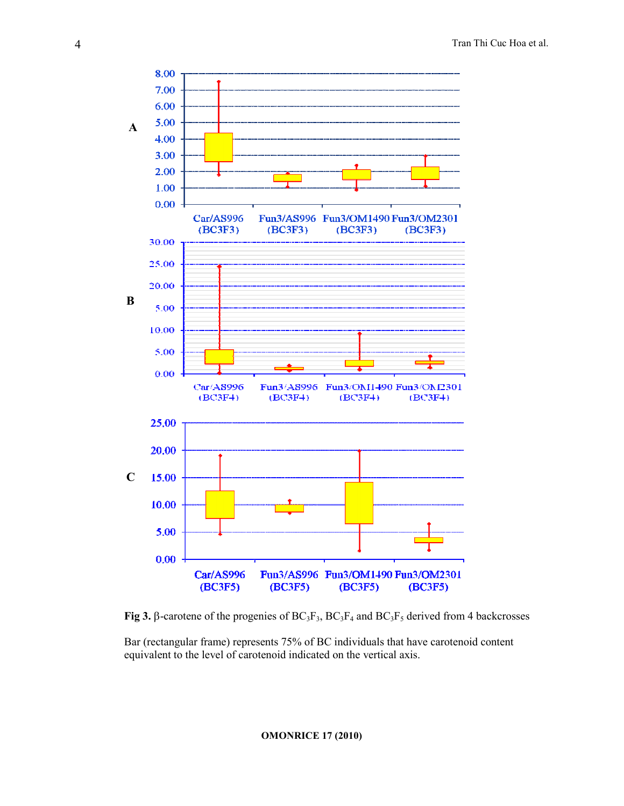

Fig 3. β-carotene of the progenies of  $BC_3F_3$ ,  $BC_3F_4$  and  $BC_3F_5$  derived from 4 backcrosses

Bar (rectangular frame) represents 75% of BC individuals that have carotenoid content equivalent to the level of carotenoid indicated on the vertical axis.

OMONRICE 17 (2010)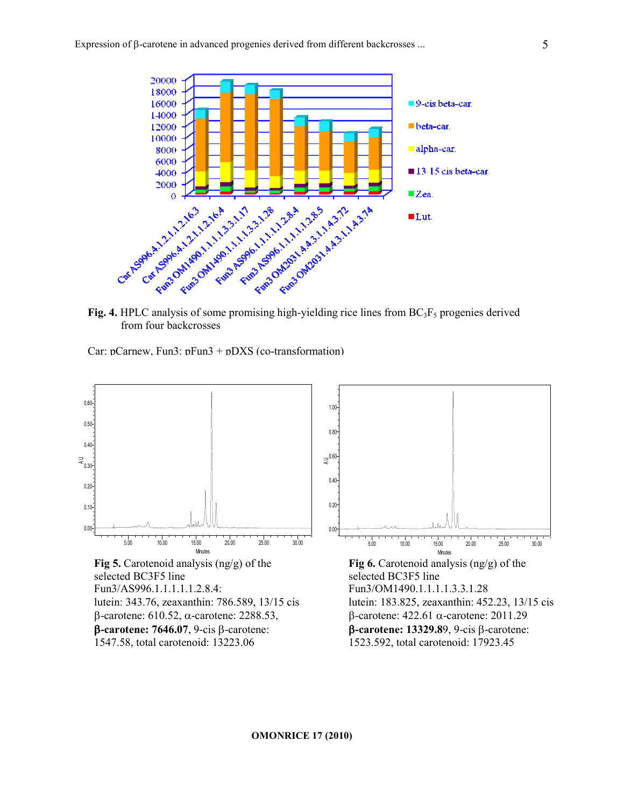

from four backcrosses

Car: pCarnew, Fun3: pFun3 + pDXS (co-transformation)

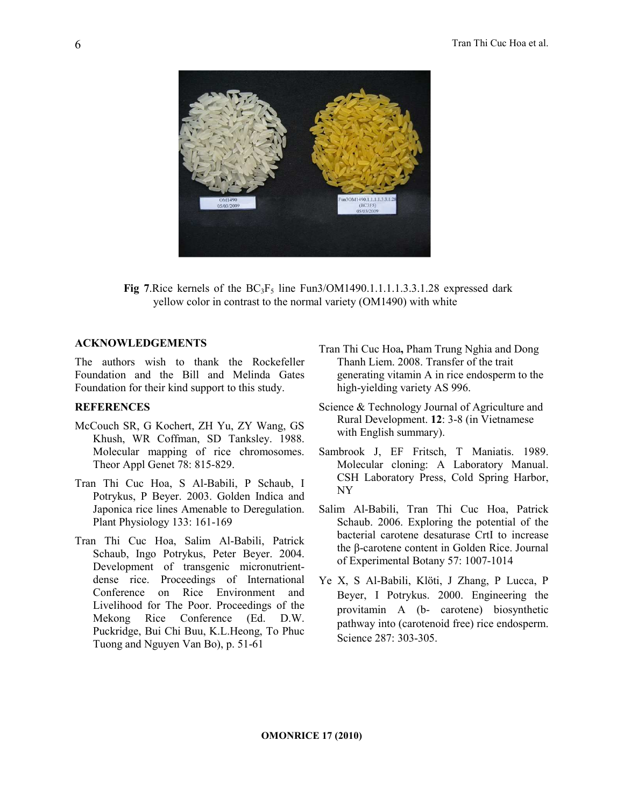

Fig 7. Rice kernels of the  $BC_3F_5$  line Fun3/OM1490.1.1.1.1.3.3.1.28 expressed dark yellow color in contrast to the normal variety (OM1490) with white

#### ACKNOWLEDGEMENTS

The authors wish to thank the Rockefeller Foundation and the Bill and Melinda Gates Foundation for their kind support to this study.

#### **REFERENCES**

- McCouch SR, G Kochert, ZH Yu, ZY Wang, GS Khush, WR Coffman, SD Tanksley. 1988. Molecular mapping of rice chromosomes. Theor Appl Genet 78: 815-829.
- Tran Thi Cuc Hoa, S Al-Babili, P Schaub, I Potrykus, P Beyer. 2003. Golden Indica and Japonica rice lines Amenable to Deregulation. Plant Physiology 133: 161-169
- Tran Thi Cuc Hoa, Salim Al-Babili, Patrick Schaub, Ingo Potrykus, Peter Beyer. 2004. Development of transgenic micronutrientdense rice. Proceedings of International Conference on Rice Environment and Livelihood for The Poor. Proceedings of the Mekong Rice Conference (Ed. D.W. Puckridge, Bui Chi Buu, K.L.Heong, To Phuc Tuong and Nguyen Van Bo), p. 51-61
- Tran Thi Cuc Hoa, Pham Trung Nghia and Dong Thanh Liem. 2008. Transfer of the trait generating vitamin A in rice endosperm to the high-yielding variety AS 996.
- Science & Technology Journal of Agriculture and Rural Development. 12: 3-8 (in Vietnamese with English summary).
- Sambrook J, EF Fritsch, T Maniatis. 1989. Molecular cloning: A Laboratory Manual. CSH Laboratory Press, Cold Spring Harbor, NY
- Salim Al-Babili, Tran Thi Cuc Hoa, Patrick Schaub. 2006. Exploring the potential of the bacterial carotene desaturase CrtI to increase the β-carotene content in Golden Rice. Journal of Experimental Botany 57: 1007-1014
- Ye X, S Al-Babili, Klöti, J Zhang, P Lucca, P Beyer, I Potrykus. 2000. Engineering the provitamin A (b- carotene) biosynthetic pathway into (carotenoid free) rice endosperm. Science 287: 303-305.